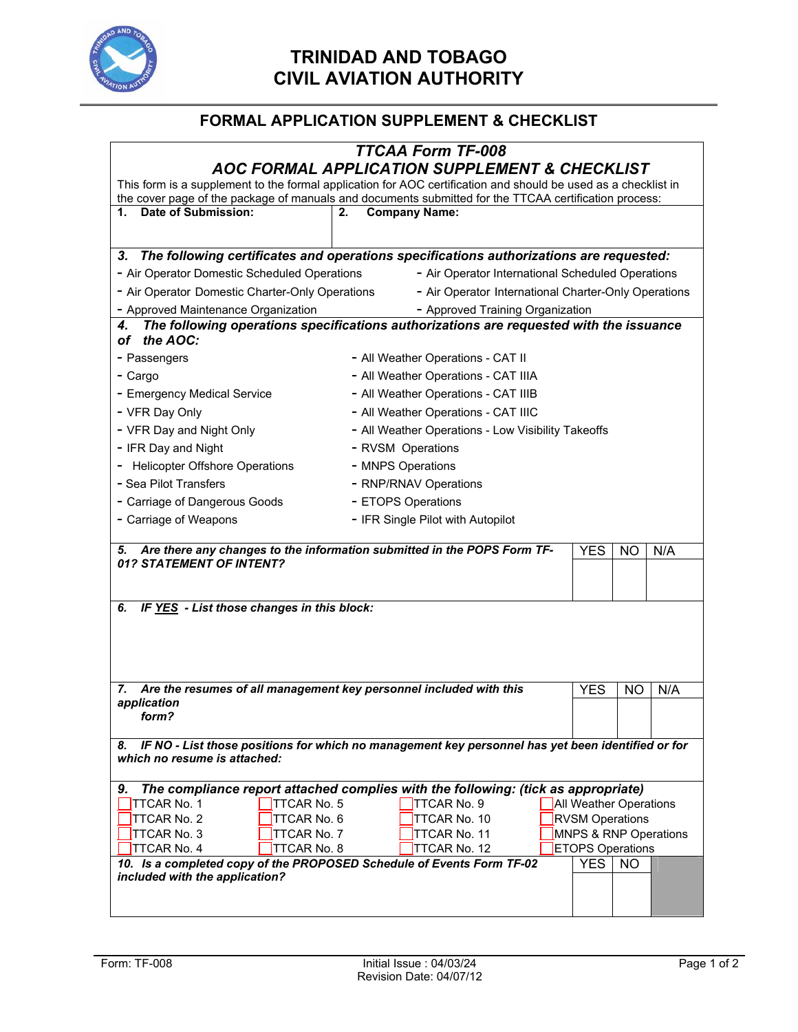

## **TRINIDAD AND TOBAGO CIVIL AVIATION AUTHORITY**

## **FORMAL APPLICATION SUPPLEMENT & CHECKLIST**

|                                                                                                         | <b>TTCAA Form TF-008</b><br>AOC FORMAL APPLICATION SUPPLEMENT & CHECKLIST                                      |                        |           |     |  |  |  |
|---------------------------------------------------------------------------------------------------------|----------------------------------------------------------------------------------------------------------------|------------------------|-----------|-----|--|--|--|
|                                                                                                         | This form is a supplement to the formal application for AOC certification and should be used as a checklist in |                        |           |     |  |  |  |
|                                                                                                         | the cover page of the package of manuals and documents submitted for the TTCAA certification process:          |                        |           |     |  |  |  |
| Date of Submission:<br>1.                                                                               | <b>Company Name:</b><br>2.                                                                                     |                        |           |     |  |  |  |
| 3.                                                                                                      | The following certificates and operations specifications authorizations are requested:                         |                        |           |     |  |  |  |
| - Air Operator Domestic Scheduled Operations                                                            | - Air Operator International Scheduled Operations                                                              |                        |           |     |  |  |  |
| - Air Operator Domestic Charter-Only Operations<br>- Air Operator International Charter-Only Operations |                                                                                                                |                        |           |     |  |  |  |
| - Approved Maintenance Organization<br>- Approved Training Organization                                 |                                                                                                                |                        |           |     |  |  |  |
| 4.<br>the AOC:<br>οf                                                                                    | The following operations specifications authorizations are requested with the issuance                         |                        |           |     |  |  |  |
| - Passengers                                                                                            | - All Weather Operations - CAT II                                                                              |                        |           |     |  |  |  |
| - Cargo                                                                                                 | - All Weather Operations - CAT IIIA                                                                            |                        |           |     |  |  |  |
| - Emergency Medical Service                                                                             | - All Weather Operations - CAT IIIB                                                                            |                        |           |     |  |  |  |
| - VFR Day Only                                                                                          | - All Weather Operations - CAT IIIC                                                                            |                        |           |     |  |  |  |
| - VFR Day and Night Only                                                                                | - All Weather Operations - Low Visibility Takeoffs                                                             |                        |           |     |  |  |  |
| - IFR Day and Night                                                                                     | - RVSM Operations                                                                                              |                        |           |     |  |  |  |
| - Helicopter Offshore Operations                                                                        | - MNPS Operations                                                                                              |                        |           |     |  |  |  |
| - Sea Pilot Transfers                                                                                   | - RNP/RNAV Operations                                                                                          |                        |           |     |  |  |  |
| - Carriage of Dangerous Goods                                                                           | - ETOPS Operations                                                                                             |                        |           |     |  |  |  |
| - Carriage of Weapons                                                                                   | - IFR Single Pilot with Autopilot                                                                              |                        |           |     |  |  |  |
| Are there any changes to the information submitted in the POPS Form TF-<br>5.                           |                                                                                                                |                        | <b>NO</b> | N/A |  |  |  |
| 01? STATEMENT OF INTENT?                                                                                |                                                                                                                |                        |           |     |  |  |  |
|                                                                                                         |                                                                                                                |                        |           |     |  |  |  |
| IF YES - List those changes in this block:<br>6.                                                        |                                                                                                                |                        |           |     |  |  |  |
| 7.                                                                                                      | Are the resumes of all management key personnel included with this                                             | <b>YES</b>             | NO        | N/A |  |  |  |
| application<br>form?                                                                                    |                                                                                                                |                        |           |     |  |  |  |
| 8.<br>which no resume is attached:                                                                      | IF NO - List those positions for which no management key personnel has yet been identified or for              |                        |           |     |  |  |  |
| 9.                                                                                                      | The compliance report attached complies with the following: (tick as appropriate)                              |                        |           |     |  |  |  |
| <b>TTCAR No. 5</b><br>TTCAR No. 1                                                                       | TTCAR No. 9                                                                                                    | All Weather Operations |           |     |  |  |  |
| TTCAR No. 2<br><b>TTCAR No. 6</b><br>TTCAR No. 10<br><b>RVSM Operations</b>                             |                                                                                                                |                        |           |     |  |  |  |
| TTCAR No. 4<br><b>TTCAR No. 8</b>                                                                       | MNPS & RNP Operations<br>TTCAR No. 3<br>TTCAR No. 7<br>TTCAR No. 11<br><b>ETOPS Operations</b>                 |                        |           |     |  |  |  |
| 10. Is a completed copy of the PROPOSED Schedule of Events Form TF-02                                   | TTCAR No. 12                                                                                                   | <b>YES</b>             | NO        |     |  |  |  |
| included with the application?                                                                          |                                                                                                                |                        |           |     |  |  |  |
|                                                                                                         |                                                                                                                |                        |           |     |  |  |  |
|                                                                                                         |                                                                                                                |                        |           |     |  |  |  |